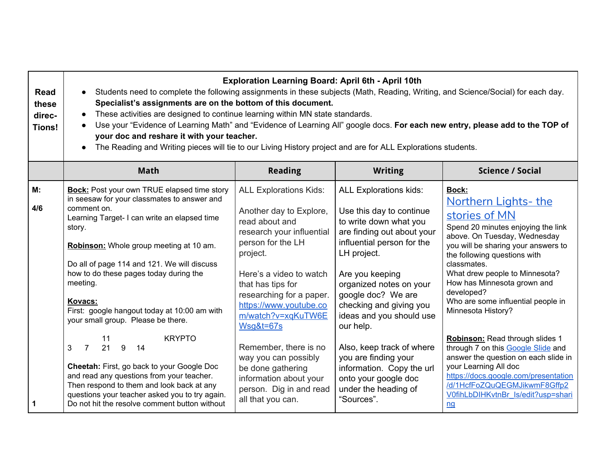| <b>Read</b><br>these<br>direc-<br><b>Tions!</b> | <b>Exploration Learning Board: April 6th - April 10th</b><br>Students need to complete the following assignments in these subjects (Math, Reading, Writing, and Science/Social) for each day.<br>$\bullet$<br>Specialist's assignments are on the bottom of this document.<br>These activities are designed to continue learning within MN state standards.<br>Use your "Evidence of Learning Math" and "Evidence of Learning All" google docs. For each new entry, please add to the TOP of<br>your doc and reshare it with your teacher.<br>The Reading and Writing pieces will tie to our Living History project and are for ALL Explorations students.<br>$\bullet$ |                                                                                                                                                                                                                                                                                              |                                                                                                                                                                                                                                                                                                        |                                                                                                                                                                                                                                                                                                                                                              |  |  |
|-------------------------------------------------|-------------------------------------------------------------------------------------------------------------------------------------------------------------------------------------------------------------------------------------------------------------------------------------------------------------------------------------------------------------------------------------------------------------------------------------------------------------------------------------------------------------------------------------------------------------------------------------------------------------------------------------------------------------------------|----------------------------------------------------------------------------------------------------------------------------------------------------------------------------------------------------------------------------------------------------------------------------------------------|--------------------------------------------------------------------------------------------------------------------------------------------------------------------------------------------------------------------------------------------------------------------------------------------------------|--------------------------------------------------------------------------------------------------------------------------------------------------------------------------------------------------------------------------------------------------------------------------------------------------------------------------------------------------------------|--|--|
|                                                 | <b>Math</b>                                                                                                                                                                                                                                                                                                                                                                                                                                                                                                                                                                                                                                                             | <b>Reading</b>                                                                                                                                                                                                                                                                               | <b>Writing</b>                                                                                                                                                                                                                                                                                         | <b>Science / Social</b>                                                                                                                                                                                                                                                                                                                                      |  |  |
| M:<br>4/6                                       | <b>Bock:</b> Post your own TRUE elapsed time story<br>in seesaw for your classmates to answer and<br>comment on.<br>Learning Target- I can write an elapsed time<br>story.<br>Robinson: Whole group meeting at 10 am.<br>Do all of page 114 and 121. We will discuss<br>how to do these pages today during the<br>meeting.<br>Kovacs:<br>First: google hangout today at 10:00 am with<br>your small group. Please be there.                                                                                                                                                                                                                                             | <b>ALL Explorations Kids:</b><br>Another day to Explore,<br>read about and<br>research your influential<br>person for the LH<br>project.<br>Here's a video to watch<br>that has tips for<br>researching for a paper.<br>https://www.youtube.co<br>m/watch?v=xqKuTW6E<br><b>Wsg&amp;t=67s</b> | <b>ALL Explorations kids:</b><br>Use this day to continue<br>to write down what you<br>are finding out about your<br>influential person for the<br>LH project.<br>Are you keeping<br>organized notes on your<br>google doc? We are<br>checking and giving you<br>ideas and you should use<br>our help. | Bock:<br><b>Northern Lights- the</b><br>stories of MN<br>Spend 20 minutes enjoying the link<br>above. On Tuesday, Wednesday<br>you will be sharing your answers to<br>the following questions with<br>classmates.<br>What drew people to Minnesota?<br>How has Minnesota grown and<br>developed?<br>Who are some influential people in<br>Minnesota History? |  |  |
| 1                                               | <b>KRYPTO</b><br>11<br>$\overline{7}$<br>21<br>3<br>9<br>14<br>Cheetah: First, go back to your Google Doc<br>and read any questions from your teacher.<br>Then respond to them and look back at any<br>questions your teacher asked you to try again.<br>Do not hit the resolve comment button without                                                                                                                                                                                                                                                                                                                                                                  | Remember, there is no<br>way you can possibly<br>be done gathering<br>information about your<br>person. Dig in and read<br>all that you can.                                                                                                                                                 | Also, keep track of where<br>you are finding your<br>information. Copy the url<br>onto your google doc<br>under the heading of<br>"Sources".                                                                                                                                                           | Robinson: Read through slides 1<br>through 7 on this Google Slide and<br>answer the question on each slide in<br>your Learning All doc<br>https://docs.google.com/presentation<br>/d/1HcfFoZQuQEGMJikwmF8Gffp2<br>V0fihLbDIHKvtnBr ls/edit?usp=shari<br>nq                                                                                                   |  |  |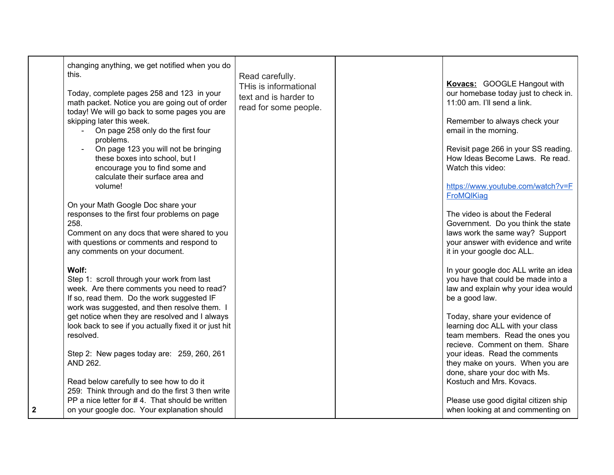|   | changing anything, we get notified when you do<br>this.<br>Today, complete pages 258 and 123 in your<br>math packet. Notice you are going out of order<br>today! We will go back to some pages you are<br>skipping later this week.<br>On page 258 only do the first four<br>problems.<br>On page 123 you will not be bringing | Read carefully.<br>THis is informational<br>text and is harder to<br>read for some people. | Kovacs: GOOGLE Hangout with<br>our homebase today just to check in.<br>11:00 am. I'll send a link.<br>Remember to always check your<br>email in the morning.<br>Revisit page 266 in your SS reading.         |
|---|--------------------------------------------------------------------------------------------------------------------------------------------------------------------------------------------------------------------------------------------------------------------------------------------------------------------------------|--------------------------------------------------------------------------------------------|--------------------------------------------------------------------------------------------------------------------------------------------------------------------------------------------------------------|
|   | these boxes into school, but I<br>encourage you to find some and<br>calculate their surface area and<br>volume!                                                                                                                                                                                                                |                                                                                            | How Ideas Become Laws. Re read.<br>Watch this video:<br>https://www.youtube.com/watch?v=F<br><b>FroMQIKiag</b>                                                                                               |
|   | On your Math Google Doc share your<br>responses to the first four problems on page<br>258.<br>Comment on any docs that were shared to you<br>with questions or comments and respond to<br>any comments on your document.                                                                                                       |                                                                                            | The video is about the Federal<br>Government. Do you think the state<br>laws work the same way? Support<br>your answer with evidence and write<br>it in your google doc ALL.                                 |
|   | Wolf:<br>Step 1: scroll through your work from last<br>week. Are there comments you need to read?<br>If so, read them. Do the work suggested IF<br>work was suggested, and then resolve them. I<br>get notice when they are resolved and I always                                                                              |                                                                                            | In your google doc ALL write an idea<br>you have that could be made into a<br>law and explain why your idea would<br>be a good law.<br>Today, share your evidence of                                         |
|   | look back to see if you actually fixed it or just hit<br>resolved.<br>Step 2: New pages today are: 259, 260, 261<br>AND 262.                                                                                                                                                                                                   |                                                                                            | learning doc ALL with your class<br>team members. Read the ones you<br>recieve. Comment on them. Share<br>your ideas. Read the comments<br>they make on yours. When you are<br>done, share your doc with Ms. |
| 2 | Read below carefully to see how to do it<br>259: Think through and do the first 3 then write<br>PP a nice letter for #4. That should be written<br>on your google doc. Your explanation should                                                                                                                                 |                                                                                            | Kostuch and Mrs. Kovacs.<br>Please use good digital citizen ship<br>when looking at and commenting on                                                                                                        |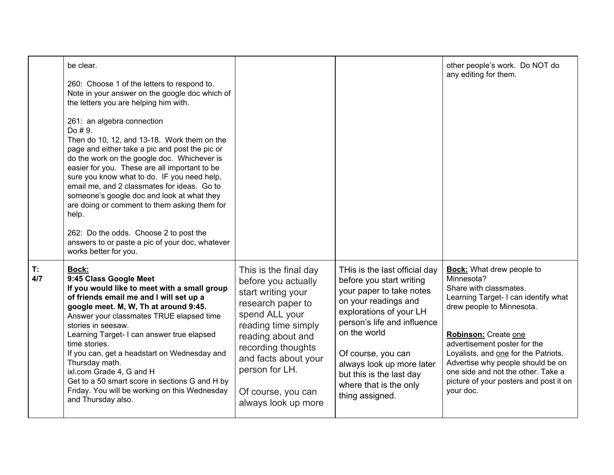|           | be clear.<br>260: Choose 1 of the letters to respond to.<br>Note in your answer on the google doc which of<br>the letters you are helping him with.<br>261: an algebra connection<br>Do #9.<br>Then do 10, 12, and 13-18. Work them on the<br>page and either take a pic and post the pic or<br>do the work on the google doc. Whichever is<br>easier for you. These are all important to be<br>sure you know what to do. IF you need help,<br>email me, and 2 classmates for ideas. Go to<br>someone's google doc and look at what they<br>are doing or comment to them asking them for<br>help.<br>262: Do the odds. Choose 2 to post the<br>answers to or paste a pic of your doc, whatever<br>works better for you. |                                                                                                                                                                                                                                                                    |                                                                                                                                                                                                                                                                                                                     | other people's work. Do NOT do<br>any editing for them.                                                                                                                                                                                                                                                                                                                         |
|-----------|-------------------------------------------------------------------------------------------------------------------------------------------------------------------------------------------------------------------------------------------------------------------------------------------------------------------------------------------------------------------------------------------------------------------------------------------------------------------------------------------------------------------------------------------------------------------------------------------------------------------------------------------------------------------------------------------------------------------------|--------------------------------------------------------------------------------------------------------------------------------------------------------------------------------------------------------------------------------------------------------------------|---------------------------------------------------------------------------------------------------------------------------------------------------------------------------------------------------------------------------------------------------------------------------------------------------------------------|---------------------------------------------------------------------------------------------------------------------------------------------------------------------------------------------------------------------------------------------------------------------------------------------------------------------------------------------------------------------------------|
| T:<br>4/7 | <b>Bock:</b><br>9:45 Class Google Meet<br>If you would like to meet with a small group<br>of friends email me and I will set up a<br>google meet. M, W, Th at around 9:45.<br>Answer your classmates TRUE elapsed time<br>stories in seesaw.<br>Learning Target- I can answer true elapsed<br>time stories.<br>If you can, get a headstart on Wednesday and<br>Thursday math.<br>ixl.com Grade 4, G and H<br>Get to a 50 smart score in sections G and H by<br>Friday. You will be working on this Wednesday<br>and Thursday also.                                                                                                                                                                                      | This is the final day<br>before you actually<br>start writing your<br>research paper to<br>spend ALL your<br>reading time simply<br>reading about and<br>recording thoughts<br>and facts about your<br>person for LH.<br>Of course, you can<br>always look up more | THis is the last official day<br>before you start writing<br>your paper to take notes<br>on your readings and<br>explorations of your LH<br>person's life and influence<br>on the world<br>Of course, you can<br>always look up more later<br>but this is the last day<br>where that is the only<br>thing assigned. | <b>Bock:</b> What drew people to<br>Minnesota?<br>Share with classmates.<br>Learning Target- I can identify what<br>drew people to Minnesota.<br>Robinson: Create one<br>advertisement poster for the<br>Loyalists, and one for the Patriots.<br>Advertise why people should be on<br>one side and not the other. Take a<br>picture of your posters and post it on<br>your doc. |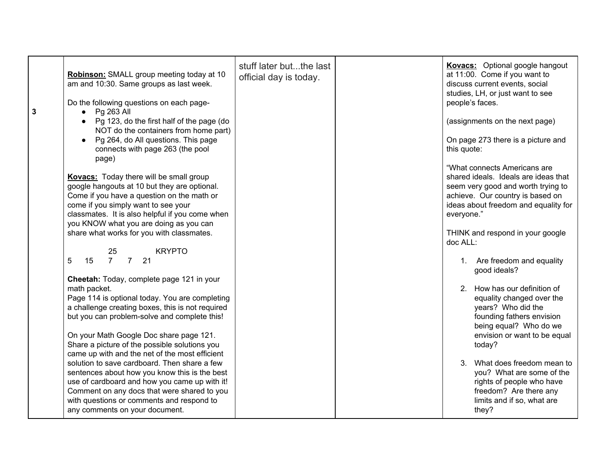| 3 | Robinson: SMALL group meeting today at 10<br>am and 10:30. Same groups as last week.<br>Do the following questions on each page-<br>Pg 263 All<br>$\bullet$                                                                                                                      | stuff later butthe last<br>official day is today. | Kovacs: Optional google hangout<br>at 11:00. Come if you want to<br>discuss current events, social<br>studies, LH, or just want to see<br>people's faces.                                            |
|---|----------------------------------------------------------------------------------------------------------------------------------------------------------------------------------------------------------------------------------------------------------------------------------|---------------------------------------------------|------------------------------------------------------------------------------------------------------------------------------------------------------------------------------------------------------|
|   | Pg 123, do the first half of the page (do<br>NOT do the containers from home part)<br>Pg 264, do All questions. This page<br>connects with page 263 (the pool<br>page)                                                                                                           |                                                   | (assignments on the next page)<br>On page 273 there is a picture and<br>this quote:                                                                                                                  |
|   | <b>Kovacs:</b> Today there will be small group<br>google hangouts at 10 but they are optional.<br>Come if you have a question on the math or<br>come if you simply want to see your<br>classmates. It is also helpful if you come when<br>you KNOW what you are doing as you can |                                                   | "What connects Americans are<br>shared ideals. Ideals are ideas that<br>seem very good and worth trying to<br>achieve. Our country is based on<br>ideas about freedom and equality for<br>everyone." |
|   | share what works for you with classmates.<br><b>KRYPTO</b><br>25                                                                                                                                                                                                                 |                                                   | THINK and respond in your google<br>doc ALL:                                                                                                                                                         |
|   | 7 <sup>7</sup><br>21<br>5<br>15<br>$\overline{7}$                                                                                                                                                                                                                                |                                                   | 1. Are freedom and equality<br>good ideals?                                                                                                                                                          |
|   | Cheetah: Today, complete page 121 in your<br>math packet.<br>Page 114 is optional today. You are completing<br>a challenge creating boxes, this is not required<br>but you can problem-solve and complete this!                                                                  |                                                   | 2. How has our definition of<br>equality changed over the<br>years? Who did the<br>founding fathers envision<br>being equal? Who do we                                                               |
|   | On your Math Google Doc share page 121.<br>Share a picture of the possible solutions you<br>came up with and the net of the most efficient                                                                                                                                       |                                                   | envision or want to be equal<br>today?                                                                                                                                                               |
|   | solution to save cardboard. Then share a few<br>sentences about how you know this is the best<br>use of cardboard and how you came up with it!<br>Comment on any docs that were shared to you<br>with questions or comments and respond to<br>any comments on your document.     |                                                   | What does freedom mean to<br>3.<br>you? What are some of the<br>rights of people who have<br>freedom? Are there any<br>limits and if so, what are<br>they?                                           |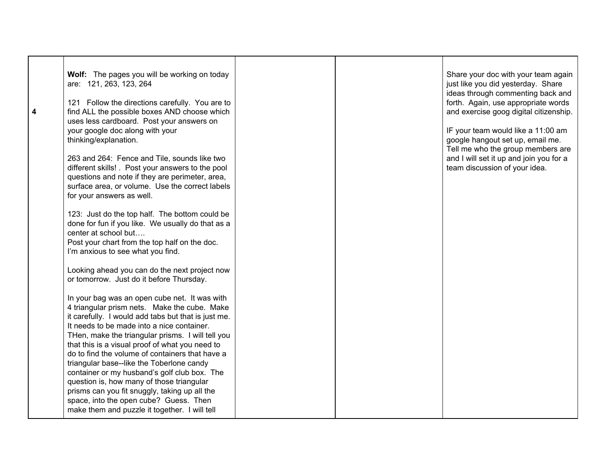|   | Wolf: The pages you will be working on today<br>are: 121, 263, 123, 264                                                                                                                                                                                                                                                                                                                                    |  | Share your doc with your team again<br>just like you did yesterday. Share<br>ideas through commenting back and |
|---|------------------------------------------------------------------------------------------------------------------------------------------------------------------------------------------------------------------------------------------------------------------------------------------------------------------------------------------------------------------------------------------------------------|--|----------------------------------------------------------------------------------------------------------------|
| 4 | 121 Follow the directions carefully. You are to<br>find ALL the possible boxes AND choose which<br>uses less cardboard. Post your answers on                                                                                                                                                                                                                                                               |  | forth. Again, use appropriate words<br>and exercise goog digital citizenship.                                  |
|   | your google doc along with your<br>thinking/explanation.                                                                                                                                                                                                                                                                                                                                                   |  | IF your team would like a 11:00 am<br>google hangout set up, email me.<br>Tell me who the group members are    |
|   | 263 and 264: Fence and Tile, sounds like two<br>different skills! . Post your answers to the pool<br>questions and note if they are perimeter, area,<br>surface area, or volume. Use the correct labels<br>for your answers as well.                                                                                                                                                                       |  | and I will set it up and join you for a<br>team discussion of your idea.                                       |
|   | 123: Just do the top half. The bottom could be<br>done for fun if you like. We usually do that as a<br>center at school but<br>Post your chart from the top half on the doc.<br>I'm anxious to see what you find.                                                                                                                                                                                          |  |                                                                                                                |
|   | Looking ahead you can do the next project now<br>or tomorrow. Just do it before Thursday.                                                                                                                                                                                                                                                                                                                  |  |                                                                                                                |
|   | In your bag was an open cube net. It was with<br>4 triangular prism nets. Make the cube. Make<br>it carefully. I would add tabs but that is just me.<br>It needs to be made into a nice container.<br>THen, make the triangular prisms. I will tell you<br>that this is a visual proof of what you need to<br>do to find the volume of containers that have a<br>triangular base--like the Toberlone candy |  |                                                                                                                |
|   | container or my husband's golf club box. The<br>question is, how many of those triangular<br>prisms can you fit snuggly, taking up all the<br>space, into the open cube? Guess. Then<br>make them and puzzle it together. I will tell                                                                                                                                                                      |  |                                                                                                                |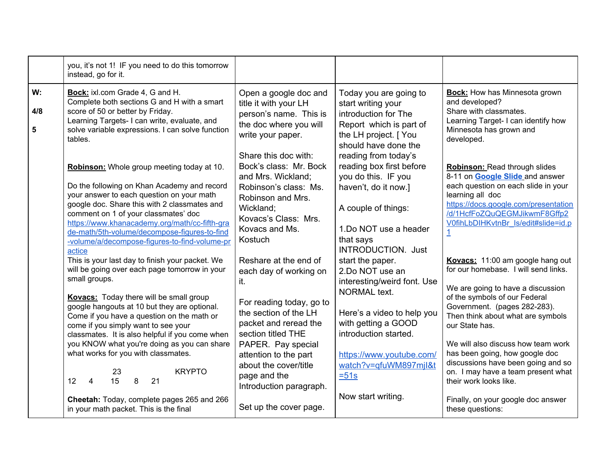|                             | you, it's not 1! IF you need to do this tomorrow<br>instead, go for it.                                                                                                                                                                                                                                                                                                                    |                                                                                                                                                                                      |                                                                                                                                                                                           |                                                                                                                                                                                                                                                          |
|-----------------------------|--------------------------------------------------------------------------------------------------------------------------------------------------------------------------------------------------------------------------------------------------------------------------------------------------------------------------------------------------------------------------------------------|--------------------------------------------------------------------------------------------------------------------------------------------------------------------------------------|-------------------------------------------------------------------------------------------------------------------------------------------------------------------------------------------|----------------------------------------------------------------------------------------------------------------------------------------------------------------------------------------------------------------------------------------------------------|
| W:<br>4/8<br>$5\phantom{1}$ | Bock: ixl.com Grade 4, G and H.<br>Complete both sections G and H with a smart<br>score of 50 or better by Friday.<br>Learning Targets- I can write, evaluate, and<br>solve variable expressions. I can solve function<br>tables.                                                                                                                                                          | Open a google doc and<br>title it with your LH<br>person's name. This is<br>the doc where you will<br>write your paper.                                                              | Today you are going to<br>start writing your<br>introduction for The<br>Report which is part of<br>the LH project. [ You<br>should have done the                                          | <b>Bock:</b> How has Minnesota grown<br>and developed?<br>Share with classmates.<br>Learning Target- I can identify how<br>Minnesota has grown and<br>developed.                                                                                         |
|                             | Robinson: Whole group meeting today at 10.<br>Do the following on Khan Academy and record<br>your answer to each question on your math<br>google doc. Share this with 2 classmates and<br>comment on 1 of your classmates' doc<br>https://www.khanacademy.org/math/cc-fifth-gra<br>de-math/5th-volume/decompose-figures-to-find<br>-volume/a/decompose-figures-to-find-volume-pr<br>actice | Share this doc with:<br>Bock's class: Mr. Bock<br>and Mrs. Wickland;<br>Robinson's class: Ms.<br>Robinson and Mrs.<br>Wickland;<br>Kovacs's Class: Mrs.<br>Kovacs and Ms.<br>Kostuch | reading from today's<br>reading box first before<br>you do this. IF you<br>haven't, do it now.]<br>A couple of things:<br>1.Do NOT use a header<br>that says<br><b>INTRODUCTION.</b> Just | <b>Robinson: Read through slides</b><br>8-11 on <b>Google Slide</b> and answer<br>each question on each slide in your<br>learning all doc<br>https://docs.google.com/presentation<br>/d/1HcfFoZQuQEGMJikwmF8Gffp2<br>V0fihLbDIHKvtnBr ls/edit#slide=id.p |
|                             | This is your last day to finish your packet. We<br>will be going over each page tomorrow in your<br>small groups.<br><b>Kovacs:</b> Today there will be small group<br>google hangouts at 10 but they are optional.<br>Come if you have a question on the math or<br>come if you simply want to see your<br>classmates. It is also helpful if you come when                                | Reshare at the end of<br>each day of working on<br>it.<br>For reading today, go to<br>the section of the LH<br>packet and reread the<br>section titled THE                           | start the paper.<br>2.Do NOT use an<br>interesting/weird font. Use<br>NORMAL text.<br>Here's a video to help you<br>with getting a GOOD<br>introduction started.                          | Kovacs: 11:00 am google hang out<br>for our homebase. I will send links.<br>We are going to have a discussion<br>of the symbols of our Federal<br>Government. (pages 282-283).<br>Then think about what are symbols<br>our State has.                    |
|                             | you KNOW what you're doing as you can share<br>what works for you with classmates.<br><b>KRYPTO</b><br>23<br>15<br>12 <sup>7</sup><br>8<br>21<br>$\overline{4}$<br>Cheetah: Today, complete pages 265 and 266<br>in your math packet. This is the final                                                                                                                                    | PAPER. Pay special<br>attention to the part<br>about the cover/title<br>page and the<br>Introduction paragraph.<br>Set up the cover page.                                            | https://www.youtube.com/<br>watch?v=qfuWM897mjl&t<br>$=51s$<br>Now start writing.                                                                                                         | We will also discuss how team work<br>has been going, how google doc<br>discussions have been going and so<br>on. I may have a team present what<br>their work looks like.<br>Finally, on your google doc answer<br>these questions:                     |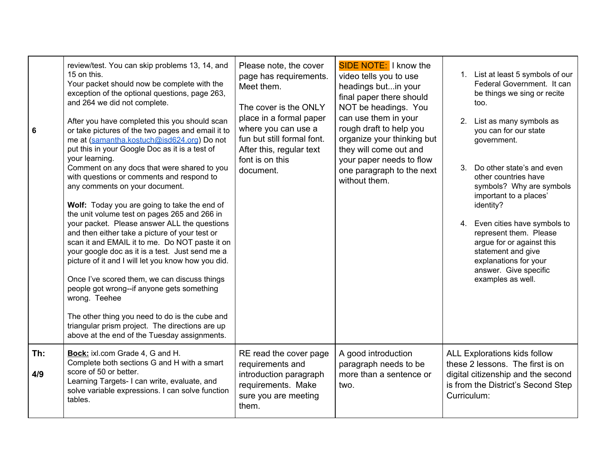| 6          | review/test. You can skip problems 13, 14, and<br>15 on this.<br>Your packet should now be complete with the<br>exception of the optional questions, page 263,<br>and 264 we did not complete.<br>After you have completed this you should scan<br>or take pictures of the two pages and email it to<br>me at (samantha.kostuch@isd624.org) Do not<br>put this in your Google Doc as it is a test of<br>your learning.<br>Comment on any docs that were shared to you<br>with questions or comments and respond to<br>any comments on your document.<br>Wolf: Today you are going to take the end of<br>the unit volume test on pages 265 and 266 in<br>your packet. Please answer ALL the questions<br>and then either take a picture of your test or<br>scan it and EMAIL it to me. Do NOT paste it on<br>your google doc as it is a test. Just send me a<br>picture of it and I will let you know how you did.<br>Once I've scored them, we can discuss things<br>people got wrong--if anyone gets something<br>wrong. Teehee<br>The other thing you need to do is the cube and<br>triangular prism project. The directions are up<br>above at the end of the Tuesday assignments. | Please note, the cover<br>page has requirements.<br>Meet them.<br>The cover is the ONLY<br>place in a formal paper<br>where you can use a<br>fun but still formal font.<br>After this, regular text<br>font is on this<br>document. | SIDE NOTE: I know the<br>video tells you to use<br>headings butin your<br>final paper there should<br>NOT be headings. You<br>can use them in your<br>rough draft to help you<br>organize your thinking but<br>they will come out and<br>your paper needs to flow<br>one paragraph to the next<br>without them. | 1. List at least 5 symbols of our<br>Federal Government. It can<br>be things we sing or recite<br>too.<br>2.<br>List as many symbols as<br>you can for our state<br>government.<br>Do other state's and even<br>3.<br>other countries have<br>symbols? Why are symbols<br>important to a places'<br>identity?<br>4. Even cities have symbols to<br>represent them. Please<br>argue for or against this<br>statement and give<br>explanations for your<br>answer. Give specific<br>examples as well. |
|------------|---------------------------------------------------------------------------------------------------------------------------------------------------------------------------------------------------------------------------------------------------------------------------------------------------------------------------------------------------------------------------------------------------------------------------------------------------------------------------------------------------------------------------------------------------------------------------------------------------------------------------------------------------------------------------------------------------------------------------------------------------------------------------------------------------------------------------------------------------------------------------------------------------------------------------------------------------------------------------------------------------------------------------------------------------------------------------------------------------------------------------------------------------------------------------------------|-------------------------------------------------------------------------------------------------------------------------------------------------------------------------------------------------------------------------------------|-----------------------------------------------------------------------------------------------------------------------------------------------------------------------------------------------------------------------------------------------------------------------------------------------------------------|-----------------------------------------------------------------------------------------------------------------------------------------------------------------------------------------------------------------------------------------------------------------------------------------------------------------------------------------------------------------------------------------------------------------------------------------------------------------------------------------------------|
| Th:<br>4/9 | Bock: ixl.com Grade 4, G and H.<br>Complete both sections G and H with a smart<br>score of 50 or better.<br>Learning Targets- I can write, evaluate, and<br>solve variable expressions. I can solve function<br>tables.                                                                                                                                                                                                                                                                                                                                                                                                                                                                                                                                                                                                                                                                                                                                                                                                                                                                                                                                                               | RE read the cover page<br>requirements and<br>introduction paragraph<br>requirements. Make<br>sure you are meeting<br>them.                                                                                                         | A good introduction<br>paragraph needs to be<br>more than a sentence or<br>two.                                                                                                                                                                                                                                 | <b>ALL Explorations kids follow</b><br>these 2 lessons. The first is on<br>digital citizenship and the second<br>is from the District's Second Step<br>Curriculum:                                                                                                                                                                                                                                                                                                                                  |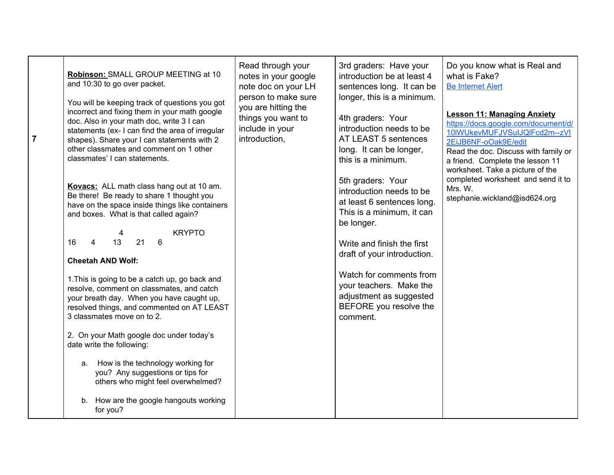| $\overline{7}$ | Robinson: SMALL GROUP MEETING at 10<br>and 10:30 to go over packet.<br>You will be keeping track of questions you got<br>incorrect and fixing them in your math google<br>doc. Also in your math doc, write 3 I can<br>statements (ex- I can find the area of irregular<br>shapes). Share your I can statements with 2<br>other classmates and comment on 1 other<br>classmates' I can statements.<br>Kovacs: ALL math class hang out at 10 am.<br>Be there! Be ready to share 1 thought you<br>have on the space inside things like containers<br>and boxes. What is that called again?<br><b>KRYPTO</b><br>4<br>13<br>21<br>6<br>$\overline{4}$<br>16<br><b>Cheetah AND Wolf:</b><br>1. This is going to be a catch up, go back and<br>resolve, comment on classmates, and catch<br>your breath day. When you have caught up,<br>resolved things, and commented on AT LEAST<br>3 classmates move on to 2.<br>2. On your Math google doc under today's<br>date write the following: | Read through your<br>notes in your google<br>note doc on your LH<br>person to make sure<br>you are hitting the<br>things you want to<br>include in your<br>introduction, | 3rd graders: Have your<br>introduction be at least 4<br>sentences long. It can be<br>longer, this is a minimum.<br>4th graders: Your<br>introduction needs to be<br>AT LEAST 5 sentences<br>long. It can be longer,<br>this is a minimum.<br>5th graders: Your<br>introduction needs to be<br>at least 6 sentences long.<br>This is a minimum, it can<br>be longer.<br>Write and finish the first<br>draft of your introduction.<br>Watch for comments from<br>your teachers. Make the<br>adjustment as suggested<br>BEFORE you resolve the<br>comment. | Do you know what is Real and<br>what is Fake?<br><b>Be Internet Alert</b><br><b>Lesson 11: Managing Anxiety</b><br>https://docs.google.com/document/d/<br>10IWUkevMUFJVSuIJQIFcd2m--zVI<br>2EiJB6NF-oOak9E/edit<br>Read the doc. Discuss with family or<br>a friend. Complete the lesson 11<br>worksheet. Take a picture of the<br>completed worksheet and send it to<br>Mrs. W.<br>stephanie.wickland@isd624.org |
|----------------|--------------------------------------------------------------------------------------------------------------------------------------------------------------------------------------------------------------------------------------------------------------------------------------------------------------------------------------------------------------------------------------------------------------------------------------------------------------------------------------------------------------------------------------------------------------------------------------------------------------------------------------------------------------------------------------------------------------------------------------------------------------------------------------------------------------------------------------------------------------------------------------------------------------------------------------------------------------------------------------|--------------------------------------------------------------------------------------------------------------------------------------------------------------------------|---------------------------------------------------------------------------------------------------------------------------------------------------------------------------------------------------------------------------------------------------------------------------------------------------------------------------------------------------------------------------------------------------------------------------------------------------------------------------------------------------------------------------------------------------------|-------------------------------------------------------------------------------------------------------------------------------------------------------------------------------------------------------------------------------------------------------------------------------------------------------------------------------------------------------------------------------------------------------------------|
|                | How is the technology working for<br>a.<br>you? Any suggestions or tips for<br>others who might feel overwhelmed?<br>b. How are the google hangouts working<br>for you?                                                                                                                                                                                                                                                                                                                                                                                                                                                                                                                                                                                                                                                                                                                                                                                                              |                                                                                                                                                                          |                                                                                                                                                                                                                                                                                                                                                                                                                                                                                                                                                         |                                                                                                                                                                                                                                                                                                                                                                                                                   |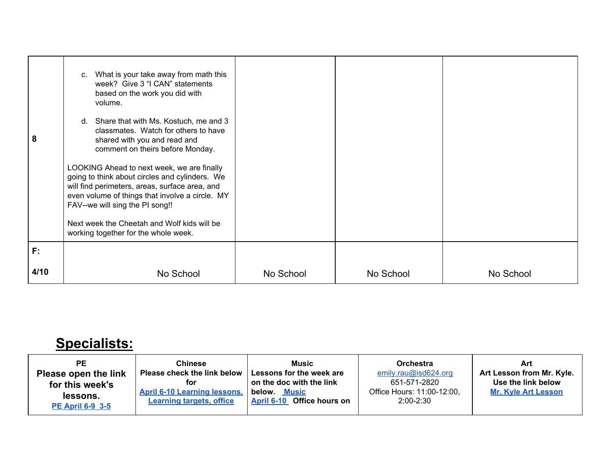| 8    | c. What is your take away from math this<br>week? Give 3 "I CAN" statements<br>based on the work you did with<br>volume.<br>d. Share that with Ms. Kostuch, me and 3<br>classmates. Watch for others to have<br>shared with you and read and<br>comment on theirs before Monday.<br>LOOKING Ahead to next week, we are finally<br>going to think about circles and cylinders. We<br>will find perimeters, areas, surface area, and<br>even volume of things that involve a circle. MY<br>FAV--we will sing the PI song!!<br>Next week the Cheetah and Wolf kids will be<br>working together for the whole week. |           |           |           |
|------|-----------------------------------------------------------------------------------------------------------------------------------------------------------------------------------------------------------------------------------------------------------------------------------------------------------------------------------------------------------------------------------------------------------------------------------------------------------------------------------------------------------------------------------------------------------------------------------------------------------------|-----------|-----------|-----------|
| F:   |                                                                                                                                                                                                                                                                                                                                                                                                                                                                                                                                                                                                                 |           |           |           |
| 4/10 | No School                                                                                                                                                                                                                                                                                                                                                                                                                                                                                                                                                                                                       | No School | No School | No School |

## **Specialists:**

| РE<br>Please open the link<br>for this week's<br>lessons.<br><b>PE April 6-9 3-5</b> | <b>Chinese</b><br>Please check the link below<br>for<br><b>April 6-10 Learning lessons,</b><br><b>Learning targets, office</b> | <b>Music</b><br>Lessons for the week are<br>on the doc with the link<br>below.<br>Music<br>Office hours on<br><b>April 6-10</b> | <b>Orchestra</b><br>emily.rau@isd624.org<br>651-571-2820<br>Office Hours: 11:00-12:00,<br>$2:00 - 2:30$ | Art<br>Art Lesson from Mr. Kyle.<br>Use the link below<br><b>Mr. Kyle Art Lesson</b> |
|--------------------------------------------------------------------------------------|--------------------------------------------------------------------------------------------------------------------------------|---------------------------------------------------------------------------------------------------------------------------------|---------------------------------------------------------------------------------------------------------|--------------------------------------------------------------------------------------|
|--------------------------------------------------------------------------------------|--------------------------------------------------------------------------------------------------------------------------------|---------------------------------------------------------------------------------------------------------------------------------|---------------------------------------------------------------------------------------------------------|--------------------------------------------------------------------------------------|